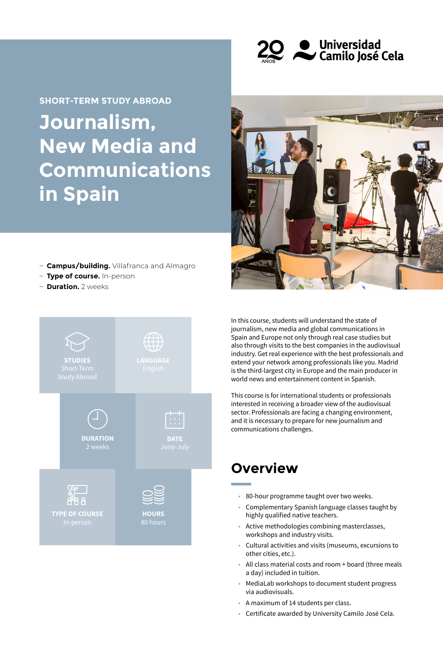

**Journalism, New Media and Communications in Spain SHORT-TERM STUDY ABROAD**



- **− Campus/building.** Villafranca and Almagro
- **− Type of course.** In-person
- **− Duration.** 2 weeks



In this course, students will understand the state of journalism, new media and global communications in Spain and Europe not only through real case studies but also through visits to the best companies in the audiovisual industry. Get real experience with the best professionals and extend your network among professionals like you. Madrid is the third-largest city in Europe and the main producer in world news and entertainment content in Spanish.

This course is for international students or professionals interested in receiving a broader view of the audiovisual sector. Professionals are facing a changing environment, and it is necessary to prepare for new journalism and communications challenges.

## **Overview**

- 80-hour programme taught over two weeks.
- Complementary Spanish language classes taught by highly qualified native teachers.
- Active methodologies combining masterclasses, workshops and industry visits.
- Cultural activities and visits (museums, excursions to other cities, etc.).
- All class material costs and room + board (three meals a day) included in tuition.
- MediaLab workshops to document student progress via audiovisuals.
- A maximum of 14 students per class.
- Certificate awarded by University Camilo José Cela.